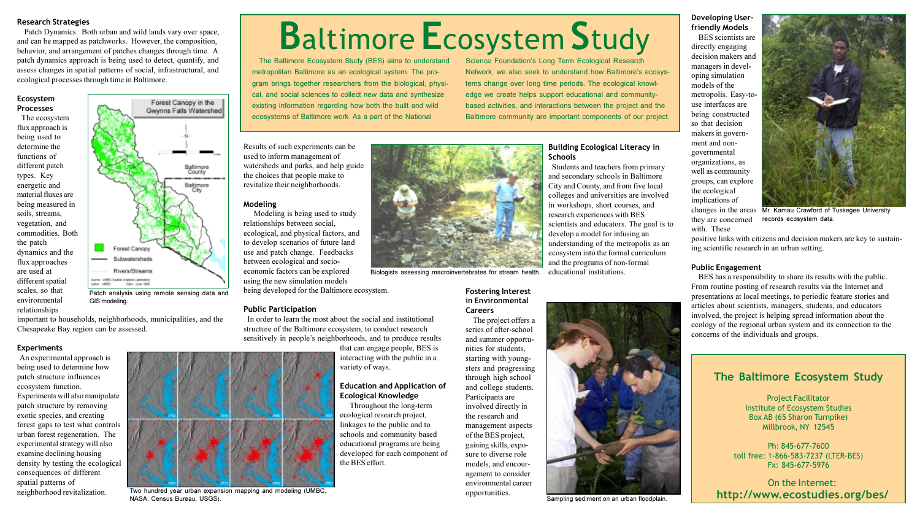# **Research Strategies**

Patch Dynamics. Both urban and wild lands vary over space, and can be mapped as patchworks. However, the composition, behavior, and arrangement of patches changes through time. A patch dynamics approach is being used to detect, quantify, and assess changes in spatial patterns of social, infrastructural, and ecological processes through time in Baltimore.

# Ecosystem **Processes**

The ecosystem flux approach is being used to determine the functions of different patch types. Key energetic and material fluxes are being measured in soils, streams, vegetation, and commodities. Both the patch dynamics and the flux approaches are used at different spatial scales, so that environmental relationships



Patch analysis using remote sensing data and GIS modeling.

important to households, neighborhoods, municipalities, and the Chesapeake Bay region can be assessed.

# **Experiments**

An experimental approach is being used to determine how patch structure influences ecosystem function. Experiments will also manipulate patch structure by removing exotic species, and creating forest gaps to test what controls urban forest regeneration. The experimental strategy will also examine declining housing density by testing the ecological consequences of different spatial patterns of neighborhood revitalization.

# Modeling

Two hundred year urban expansion mapping and modeling (UMBC

NASA, Census Bureau, USGS).

# **Baltimore Ecosystem Study** Science Foundation's Long Term Ecological Research

The Baltimore Ecosystem Study (BES) aims to understand metropolitan Baltimore as an ecological system. The program brings together researchers from the biological, physical, and social sciences to collect new data and synthesize existing information regarding how both the built and wild ecosystems of Baltimore work. As a part of the National

Results of such experiments can be used to inform management of watersheds and parks, and help guide the choices that people make to revitalize their neighborhoods.

Modeling is being used to study relationships between social, ecological, and physical factors, and to develop scenarios of future land use and patch change. Feedbacks between ecological and socioeconomic factors can be explored using the new simulation models being developed for the Baltimore ecosystem.

# **Public Participation**

In order to learn the most about the social and institutional structure of the Baltimore ecosystem, to conduct research sensitively in people's neighborhoods, and to produce results

> that can engage people, BES is interacting with the public in a variety of ways.

# **Education and Application of Ecological Knowledge**

Throughout the long-term ecological research project, linkages to the public and to schools and community based educational programs are being developed for each component of the BES effort.



Biologists assessing macroinvertebrates for stream health.

# **Fostering Interest** in Environmental **Careers**

The project offers a series of after-school and summer opportunities for students, starting with youngsters and progressing through high school and college students. Participants are involved directly in the research and management aspects of the BES project, gaining skills, exposure to diverse role models, and encouragement to consider environmental career opportunities.

# **Building Ecological Literacy in Schools**

Network, we also seek to understand how Baltimore's ecosys-

tems change over long time periods. The ecological knowl-

edge we create helps support educational and community-

based activities, and interactions between the project and the

Baltimore community are important components of our project.

Students and teachers from primary and secondary schools in Baltimore City and County, and from five local colleges and universities are involved in workshops, short courses, and research experiences with BES scientists and educators. The goal is to develop a model for infusing an understanding of the metropolis as an ecosystem into the formal curriculum and the programs of non-formal educational institutions.



Sampling sediment on an urban floodplain

BES scientists are directly engaging decision makers and managers in developing simulation models of the metropolis. Easy-touse interfaces are being constructed so that decision makers in government and nongovernmental organizations, as well as community groups, can explore the ecological implications of changes in the areas Mr. Kamau Crawford of Tuskegee University they are concerned records ecosystem data. with. These positive links with citizens and decision makers are key to sustaining scientific research in an urban setting.

BES has a responsibility to share its results with the public. From routine posting of research results via the Internet and presentations at local meetings, to periodic feature stories and articles about scientists, managers, students, and educators involved, the project is helping spread information about the ecology of the regional urban system and its connection to the concerns of the individuals and groups.

Developing Userfriendly Models



# **Public Engagement**

# The Baltimore Ecosystem Study

**Project Facilitator Institute of Ecosystem Studies** Box AB (65 Sharon Turnpike) Millbrook, NY 12545

Ph: 845-677-7600 toll free: 1-866-583-7237 (LTER-BES) Fx: 845-677-5976

On the Internet: http://www.ecostudies.org/bes/